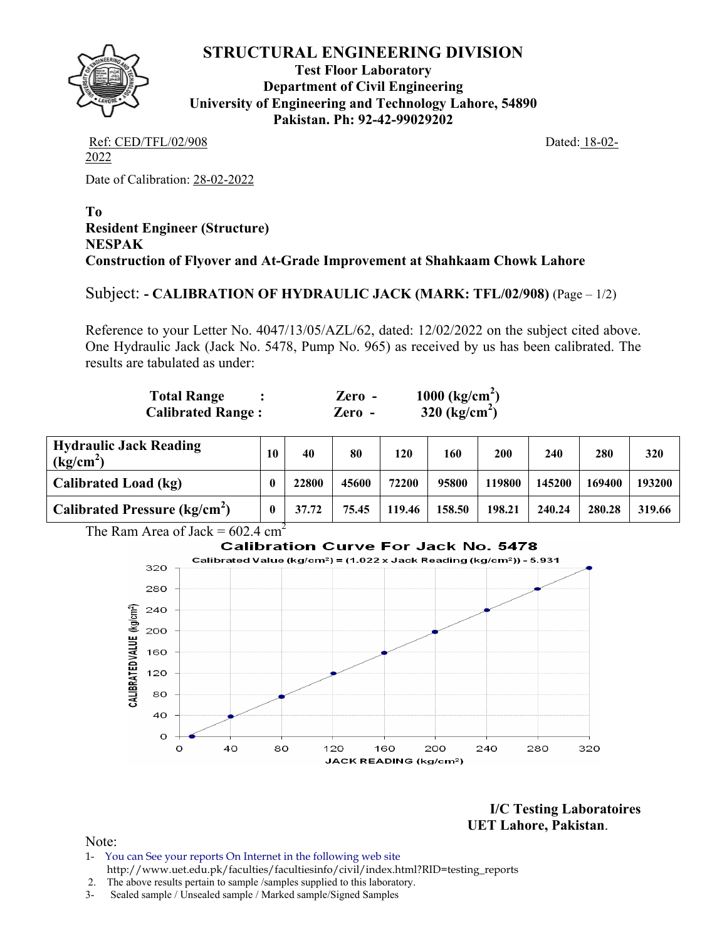

# **STRUCTURAL ENGINEERING DIVISION**

**Test Floor Laboratory Department of Civil Engineering University of Engineering and Technology Lahore, 54890 Pakistan. Ph: 92-42-99029202** 

Ref: CED/TFL/02/908 Dated: 18-02-2022

Date of Calibration: 28-02-2022

#### **To Resident Engineer (Structure) NESPAK Construction of Flyover and At-Grade Improvement at Shahkaam Chowk Lahore**

# Subject: **- CALIBRATION OF HYDRAULIC JACK (MARK: TFL/02/908)** (Page – 1/2)

Reference to your Letter No. 4047/13/05/AZL/62, dated: 12/02/2022 on the subject cited above. One Hydraulic Jack (Jack No. 5478, Pump No. 965) as received by us has been calibrated. The results are tabulated as under:

| Total Range              | $\chi$ ero -         | 1000 $\text{(kg/cm}^2)$   |
|--------------------------|----------------------|---------------------------|
| <b>Calibrated Range:</b> | $\chi$ <i>Lero</i> - | 320 (kg/cm <sup>2</sup> ) |

| <b>Hydraulic Jack Reading</b><br>(kg/cm <sup>2</sup> ) | 10 | 40    | 80    | 120    | 160    | 200    | 240    | 280    | 320    |
|--------------------------------------------------------|----|-------|-------|--------|--------|--------|--------|--------|--------|
| Calibrated Load (kg)                                   |    | 22800 | 45600 | 72200  | 95800  | 119800 | 145200 | 169400 | 193200 |
| <b>Calibrated Pressure (kg/cm<sup>2</sup>)</b>         |    | 37.72 | 75.45 | 119.46 | 158.50 | 198.21 | 240.24 | 280.28 | 319.66 |



**I/C Testing Laboratoires UET Lahore, Pakistan**.

Note:

- 1- You can See your reports On Internet in the following web site http://www.uet.edu.pk/faculties/facultiesinfo/civil/index.html?RID=testing\_reports
- 2. The above results pertain to sample /samples supplied to this laboratory.
- 3- Sealed sample / Unsealed sample / Marked sample/Signed Samples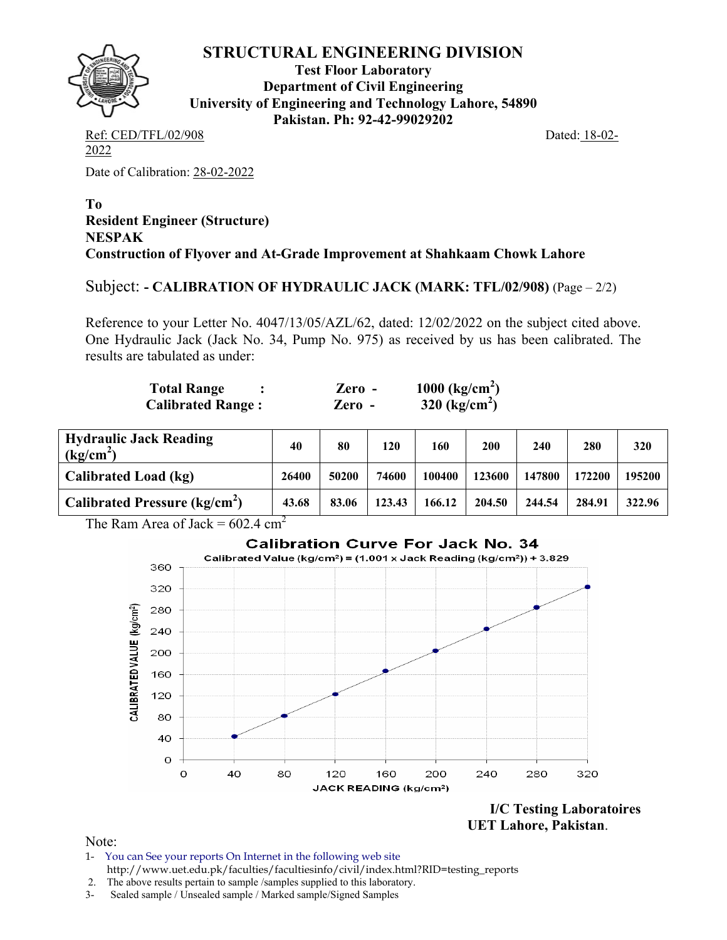

# **STRUCTURAL ENGINEERING DIVISION**

**Test Floor Laboratory Department of Civil Engineering University of Engineering and Technology Lahore, 54890 Pakistan. Ph: 92-42-99029202** 

Ref: CED/TFL/02/908 Dated: 18-02-2022

Date of Calibration: 28-02-2022

#### **To Resident Engineer (Structure) NESPAK Construction of Flyover and At-Grade Improvement at Shahkaam Chowk Lahore**

Subject: **- CALIBRATION OF HYDRAULIC JACK (MARK: TFL/02/908)** (Page – 2/2)

Reference to your Letter No. 4047/13/05/AZL/62, dated: 12/02/2022 on the subject cited above. One Hydraulic Jack (Jack No. 34, Pump No. 975) as received by us has been calibrated. The results are tabulated as under:

| <b>Total Range</b>       | $\chi$ <i>Lero –</i> | 1000 $\text{(kg/cm}^2)$ |
|--------------------------|----------------------|-------------------------|
| <b>Calibrated Range:</b> | Zero -               | 320 ( $kg/cm2$ )        |

| <b>Hydraulic Jack Reading</b><br>(kg/cm <sup>2</sup> ) | 40    | 80    | 120    | 160    | 200    | 240    | 280    | 320    |
|--------------------------------------------------------|-------|-------|--------|--------|--------|--------|--------|--------|
| Calibrated Load (kg)                                   | 26400 | 50200 | 74600  | 100400 | 123600 | 147800 | 172200 | 195200 |
| Calibrated Pressure ( $kg/cm2$ )                       | 43.68 | 83.06 | 123.43 | 166.12 | 204.50 | 244.54 | 284.91 | 322.96 |

The Ram Area of Jack =  $602.4 \text{ cm}^2$ 



**I/C Testing Laboratoires UET Lahore, Pakistan**.

Note:

- 1- You can See your reports On Internet in the following web site http://www.uet.edu.pk/faculties/facultiesinfo/civil/index.html?RID=testing\_reports
- 2. The above results pertain to sample /samples supplied to this laboratory.
- 3- Sealed sample / Unsealed sample / Marked sample/Signed Samples